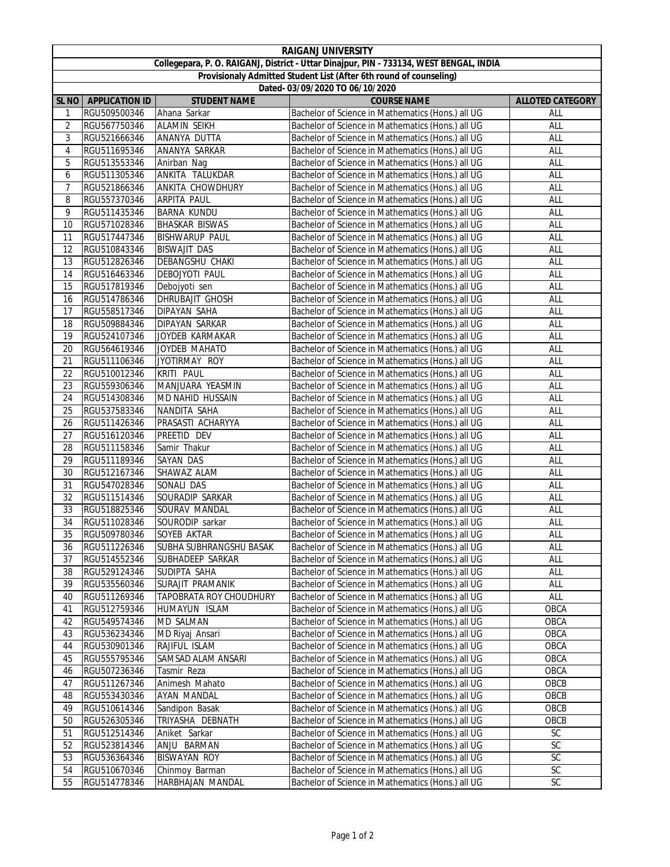| <b>RAIGANJ UNIVERSITY</b>                                                               |                       |                                |                                                   |                         |  |  |  |  |
|-----------------------------------------------------------------------------------------|-----------------------|--------------------------------|---------------------------------------------------|-------------------------|--|--|--|--|
| Collegepara, P. O. RAIGANJ, District - Uttar Dinajpur, PIN - 733134, WEST BENGAL, INDIA |                       |                                |                                                   |                         |  |  |  |  |
| Provisionaly Admitted Student List (After 6th round of counseling)                      |                       |                                |                                                   |                         |  |  |  |  |
| Dated- 03/09/2020 TO 06/10/2020                                                         |                       |                                |                                                   |                         |  |  |  |  |
| SL <sub>NO</sub>                                                                        | <b>APPLICATION ID</b> | <b>STUDENT NAME</b>            | <b>COURSE NAME</b>                                | <b>ALLOTED CATEGORY</b> |  |  |  |  |
| 1                                                                                       | RGU509500346          | Ahana Sarkar                   | Bachelor of Science in Mathematics (Hons.) all UG | ALL                     |  |  |  |  |
| 2                                                                                       | RGU567750346          | <b>ALAMIN SEIKH</b>            | Bachelor of Science in Mathematics (Hons.) all UG | ALL                     |  |  |  |  |
| 3                                                                                       | RGU521666346          | ANANYA DUTTA                   | Bachelor of Science in Mathematics (Hons.) all UG | ALL                     |  |  |  |  |
| 4                                                                                       | RGU511695346          | ANANYA SARKAR                  | Bachelor of Science in Mathematics (Hons.) all UG | ALL                     |  |  |  |  |
| 5                                                                                       | RGU513553346          | Anirban Nag                    | Bachelor of Science in Mathematics (Hons.) all UG | ALL                     |  |  |  |  |
| 6                                                                                       | RGU511305346          | ANKITA TALUKDAR                | Bachelor of Science in Mathematics (Hons.) all UG | ALL                     |  |  |  |  |
| 7                                                                                       | RGU521866346          | <b>ANKITA CHOWDHURY</b>        | Bachelor of Science in Mathematics (Hons.) all UG | ALL                     |  |  |  |  |
| 8                                                                                       | RGU557370346          | <b>ARPITA PAUL</b>             | Bachelor of Science in Mathematics (Hons.) all UG | ALL                     |  |  |  |  |
| 9                                                                                       | RGU511435346          | <b>BARNA KUNDU</b>             | Bachelor of Science in Mathematics (Hons.) all UG | ALL                     |  |  |  |  |
|                                                                                         |                       |                                |                                                   |                         |  |  |  |  |
| 10                                                                                      | RGU571028346          | <b>BHASKAR BISWAS</b>          | Bachelor of Science in Mathematics (Hons.) all UG | ALL                     |  |  |  |  |
| 11                                                                                      | RGU517447346          | <b>BISHWARUP PAUL</b>          | Bachelor of Science in Mathematics (Hons.) all UG | ALL                     |  |  |  |  |
| 12                                                                                      | RGU510843346          | <b>BISWAJIT DAS</b>            | Bachelor of Science in Mathematics (Hons.) all UG | ALL                     |  |  |  |  |
| 13                                                                                      | RGU512826346          | DEBANGSHU CHAKI                | Bachelor of Science in Mathematics (Hons.) all UG | <b>ALL</b>              |  |  |  |  |
| 14                                                                                      | RGU516463346          | <b>DEBOJYOTI PAUL</b>          | Bachelor of Science in Mathematics (Hons.) all UG | ALL                     |  |  |  |  |
| 15                                                                                      | RGU517819346          | Debojyoti sen                  | Bachelor of Science in Mathematics (Hons.) all UG | ALL                     |  |  |  |  |
| 16                                                                                      | RGU514786346          | <b>DHRUBAJIT GHOSH</b>         | Bachelor of Science in Mathematics (Hons.) all UG | ALL                     |  |  |  |  |
| 17                                                                                      | RGU558517346          | <b>DIPAYAN SAHA</b>            | Bachelor of Science in Mathematics (Hons.) all UG | ALL                     |  |  |  |  |
| 18                                                                                      | RGU509884346          | <b>DIPAYAN SARKAR</b>          | Bachelor of Science in Mathematics (Hons.) all UG | ALL                     |  |  |  |  |
| 19                                                                                      | RGU524107346          | JOYDEB KARMAKAR                | Bachelor of Science in Mathematics (Hons.) all UG | ALL                     |  |  |  |  |
| 20                                                                                      | RGU564619346          | JOYDEB MAHATO                  | Bachelor of Science in Mathematics (Hons.) all UG | <b>ALL</b>              |  |  |  |  |
| 21                                                                                      | RGU511106346          | JYOTIRMAY ROY                  | Bachelor of Science in Mathematics (Hons.) all UG | ALL                     |  |  |  |  |
| 22                                                                                      | RGU510012346          | KRITI PAUL                     | Bachelor of Science in Mathematics (Hons.) all UG | ALL                     |  |  |  |  |
| 23                                                                                      | RGU559306346          | MANJUARA YEASMIN               | Bachelor of Science in Mathematics (Hons.) all UG | ALL                     |  |  |  |  |
| 24                                                                                      | RGU514308346          | MD NAHID HUSSAIN               | Bachelor of Science in Mathematics (Hons.) all UG | ALL                     |  |  |  |  |
| 25                                                                                      | RGU537583346          | NANDITA SAHA                   | Bachelor of Science in Mathematics (Hons.) all UG | ALL                     |  |  |  |  |
| 26                                                                                      | RGU511426346          | PRASASTI ACHARYYA              | Bachelor of Science in Mathematics (Hons.) all UG | ALL                     |  |  |  |  |
| 27                                                                                      | RGU516120346          | PREETID DEV                    | Bachelor of Science in Mathematics (Hons.) all UG | ALL                     |  |  |  |  |
| 28                                                                                      | RGU511158346          | Samir Thakur                   | Bachelor of Science in Mathematics (Hons.) all UG | ALL                     |  |  |  |  |
| 29                                                                                      | RGU511189346          | <b>SAYAN DAS</b>               | Bachelor of Science in Mathematics (Hons.) all UG | ALL                     |  |  |  |  |
| 30                                                                                      | RGU512167346          | SHAWAZ ALAM                    | Bachelor of Science in Mathematics (Hons.) all UG | <b>ALL</b>              |  |  |  |  |
| 31                                                                                      | RGU547028346          | SONALI DAS                     | Bachelor of Science in Mathematics (Hons.) all UG | <b>ALL</b>              |  |  |  |  |
| 32                                                                                      | RGU511514346          | SOURADIP SARKAR                | Bachelor of Science in Mathematics (Hons.) all UG | ALL                     |  |  |  |  |
| 33                                                                                      | RGU518825346          | SOURAV MANDAL                  | Bachelor of Science in Mathematics (Hons.) all UG | ALL                     |  |  |  |  |
| 34                                                                                      | RGU511028346          | SOURODIP sarkar                | Bachelor of Science in Mathematics (Hons.) all UG | ALL                     |  |  |  |  |
| 35                                                                                      | RGU509780346          | SOYEB AKTAR                    | Bachelor of Science in Mathematics (Hons.) all UG | ALL                     |  |  |  |  |
| 36                                                                                      | RGU511226346          | <b>SUBHA SUBHRANGSHU BASAK</b> | Bachelor of Science in Mathematics (Hons.) all UG | ALL                     |  |  |  |  |
| 37                                                                                      | RGU514552346          | SUBHADEEP SARKAR               | Bachelor of Science in Mathematics (Hons.) all UG | ALL                     |  |  |  |  |
| 38                                                                                      | RGU529124346          | SUDIPTA SAHA                   | Bachelor of Science in Mathematics (Hons.) all UG | ALL                     |  |  |  |  |
| 39                                                                                      | RGU535560346          | SURAJIT PRAMANIK               | Bachelor of Science in Mathematics (Hons.) all UG | ALL                     |  |  |  |  |
| 40                                                                                      | RGU511269346          | TAPOBRATA ROY CHOUDHURY        | Bachelor of Science in Mathematics (Hons.) all UG | ALL                     |  |  |  |  |
| 41                                                                                      | RGU512759346          | HUMAYUN ISLAM                  | Bachelor of Science in Mathematics (Hons.) all UG | OBCA                    |  |  |  |  |
| 42                                                                                      | RGU549574346          | <b>MD SALMAN</b>               | Bachelor of Science in Mathematics (Hons.) all UG | OBCA                    |  |  |  |  |
| 43                                                                                      | RGU536234346          | MD Riyaj Ansari                | Bachelor of Science in Mathematics (Hons.) all UG | OBCA                    |  |  |  |  |
| 44                                                                                      |                       | RAJIFUL ISLAM                  | Bachelor of Science in Mathematics (Hons.) all UG | OBCA                    |  |  |  |  |
|                                                                                         | RGU530901346          |                                |                                                   |                         |  |  |  |  |
| 45                                                                                      | RGU555795346          | SAMSAD ALAM ANSARI             | Bachelor of Science in Mathematics (Hons.) all UG | OBCA                    |  |  |  |  |
| 46                                                                                      | RGU507236346          | Tasmir Reza                    | Bachelor of Science in Mathematics (Hons.) all UG | OBCA                    |  |  |  |  |
| 47                                                                                      | RGU511267346          | Animesh Mahato                 | Bachelor of Science in Mathematics (Hons.) all UG | OBCB                    |  |  |  |  |
| 48                                                                                      | RGU553430346          | AYAN MANDAL                    | Bachelor of Science in Mathematics (Hons.) all UG | OBCB                    |  |  |  |  |
| 49                                                                                      | RGU510614346          | Sandipon Basak                 | Bachelor of Science in Mathematics (Hons.) all UG | OBCB                    |  |  |  |  |
| 50                                                                                      | RGU526305346          | TRIYASHA DEBNATH               | Bachelor of Science in Mathematics (Hons.) all UG | OBCB                    |  |  |  |  |
| 51                                                                                      | RGU512514346          | Aniket Sarkar                  | Bachelor of Science in Mathematics (Hons.) all UG | <b>SC</b>               |  |  |  |  |
| 52                                                                                      | RGU523814346          | ANJU BARMAN                    | Bachelor of Science in Mathematics (Hons.) all UG | SC                      |  |  |  |  |
| 53                                                                                      | RGU536364346          | <b>BISWAYAN ROY</b>            | Bachelor of Science in Mathematics (Hons.) all UG | <b>SC</b>               |  |  |  |  |
| 54                                                                                      | RGU510670346          | Chinmoy Barman                 | Bachelor of Science in Mathematics (Hons.) all UG | SC                      |  |  |  |  |
| 55                                                                                      | RGU514778346          | HARBHAJAN MANDAL               | Bachelor of Science in Mathematics (Hons.) all UG | SC                      |  |  |  |  |